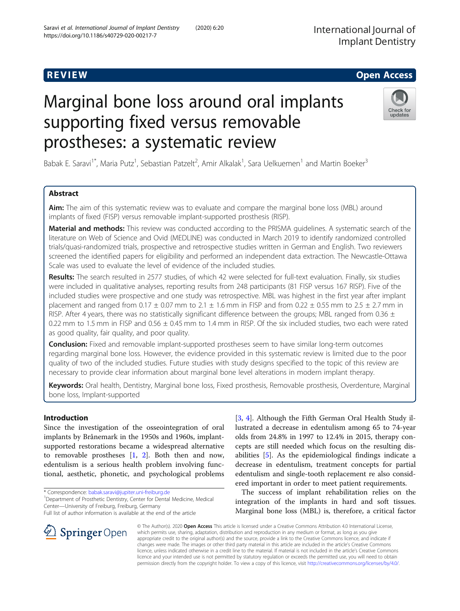# Marginal bone loss around oral implants supporting fixed versus removable prostheses: a systematic review

Babak E. Saravi<sup>1\*</sup>, Maria Putz<sup>1</sup>, Sebastian Patzelt<sup>2</sup>, Amir Alkalak<sup>1</sup>, Sara Uelkuemen<sup>1</sup> and Martin Boeker<sup>3</sup>

#### Abstract

Aim: The aim of this systematic review was to evaluate and compare the marginal bone loss (MBL) around implants of fixed (FISP) versus removable implant-supported prosthesis (RISP).

Material and methods: This review was conducted according to the PRISMA guidelines. A systematic search of the literature on Web of Science and Ovid (MEDLINE) was conducted in March 2019 to identify randomized controlled trials/quasi-randomized trials, prospective and retrospective studies written in German and English. Two reviewers screened the identified papers for eligibility and performed an independent data extraction. The Newcastle-Ottawa Scale was used to evaluate the level of evidence of the included studies.

Results: The search resulted in 2577 studies, of which 42 were selected for full-text evaluation. Finally, six studies were included in qualitative analyses, reporting results from 248 participants (81 FISP versus 167 RISP). Five of the included studies were prospective and one study was retrospective. MBL was highest in the first year after implant placement and ranged from  $0.17 \pm 0.07$  mm to  $2.1 \pm 1.6$  mm in FISP and from  $0.22 \pm 0.55$  mm to  $2.5 \pm 2.7$  mm in RISP. After 4 years, there was no statistically significant difference between the groups; MBL ranged from 0.36  $\pm$ 0.22 mm to 1.5 mm in FISP and  $0.56 \pm 0.45$  mm to 1.4 mm in RISP. Of the six included studies, two each were rated as good quality, fair quality, and poor quality.

**Conclusion:** Fixed and removable implant-supported prostheses seem to have similar long-term outcomes regarding marginal bone loss. However, the evidence provided in this systematic review is limited due to the poor quality of two of the included studies. Future studies with study designs specified to the topic of this review are necessary to provide clear information about marginal bone level alterations in modern implant therapy.

Keywords: Oral health, Dentistry, Marginal bone loss, Fixed prosthesis, Removable prosthesis, Overdenture, Marginal bone loss, Implant-supported

#### Introduction

Since the investigation of the osseointegration of oral implants by Brånemark in the 1950s and 1960s, implantsupported restorations became a widespread alternative to removable prostheses  $[1, 2]$  $[1, 2]$  $[1, 2]$  $[1, 2]$ . Both then and now, edentulism is a serious health problem involving functional, aesthetic, phonetic, and psychological problems

\* Correspondence: [babak.saravi@jupiter.uni-freiburg.de](mailto:babak.saravi@jupiter.uni-freiburg.de) <sup>1</sup>

 $\perp$  Springer Open

<sup>1</sup> Department of Prosthetic Dentistry, Center for Dental Medicine, Medical Center—University of Freiburg, Freiburg, Germany

Full list of author information is available at the end of the article

[[3,](#page-7-0) [4](#page-7-0)]. Although the Fifth German Oral Health Study illustrated a decrease in edentulism among 65 to 74-year olds from 24.8% in 1997 to 12.4% in 2015, therapy concepts are still needed which focus on the resulting disabilities [[5\]](#page-7-0). As the epidemiological findings indicate a decrease in edentulism, treatment concepts for partial edentulism and single-tooth replacement re also considered important in order to meet patient requirements.

The success of implant rehabilitation relies on the integration of the implants in hard and soft tissues. Marginal bone loss (MBL) is, therefore, a critical factor

© The Author(s). 2020 Open Access This article is licensed under a Creative Commons Attribution 4.0 International License, which permits use, sharing, adaptation, distribution and reproduction in any medium or format, as long as you give appropriate credit to the original author(s) and the source, provide a link to the Creative Commons licence, and indicate if changes were made. The images or other third party material in this article are included in the article's Creative Commons licence, unless indicated otherwise in a credit line to the material. If material is not included in the article's Creative Commons licence and your intended use is not permitted by statutory regulation or exceeds the permitted use, you will need to obtain permission directly from the copyright holder. To view a copy of this licence, visit <http://creativecommons.org/licenses/by/4.0/>.





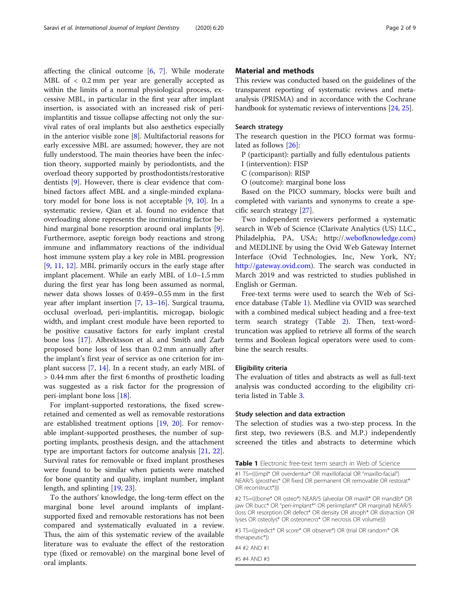affecting the clinical outcome [[6,](#page-7-0) [7](#page-7-0)]. While moderate MBL of < 0.2 mm per year are generally accepted as within the limits of a normal physiological process, excessive MBL, in particular in the first year after implant insertion, is associated with an increased risk of periimplantitis and tissue collapse affecting not only the survival rates of oral implants but also aesthetics especially in the anterior visible zone [\[8](#page-7-0)]. Multifactorial reasons for early excessive MBL are assumed; however, they are not fully understood. The main theories have been the infection theory, supported mainly by periodontists, and the overload theory supported by prosthodontists/restorative dentists [\[9](#page-7-0)]. However, there is clear evidence that combined factors affect MBL and a single-minded explanatory model for bone loss is not acceptable [\[9](#page-7-0), [10](#page-7-0)]. In a systematic review, Qian et al. found no evidence that overloading alone represents the incriminating factor behind marginal bone resorption around oral implants [\[9](#page-7-0)]. Furthermore, aseptic foreign body reactions and strong immune and inflammatory reactions of the individual host immune system play a key role in MBL progression [[9,](#page-7-0) [11](#page-7-0), [12](#page-7-0)]. MBL primarily occurs in the early stage after implant placement. While an early MBL of 1.0–1.5 mm during the first year has long been assumed as normal, newer data shows losses of 0.459–0.55 mm in the first year after implant insertion [[7](#page-7-0), [13](#page-7-0)–[16\]](#page-7-0). Surgical trauma, occlusal overload, peri-implantitis, microgap, biologic width, and implant crest module have been reported to be positive causative factors for early implant crestal bone loss [\[17](#page-7-0)]. Albrektsson et al. and Smith and Zarb proposed bone loss of less than 0.2 mm annually after the implant's first year of service as one criterion for implant success [\[7](#page-7-0), [14\]](#page-7-0). In a recent study, an early MBL of > 0.44 mm after the first 6 months of prosthetic loading was suggested as a risk factor for the progression of peri-implant bone loss [[18\]](#page-7-0).

For implant-supported restorations, the fixed screwretained and cemented as well as removable restorations are established treatment options [\[19,](#page-7-0) [20](#page-7-0)]. For removable implant-supported prostheses, the number of supporting implants, prosthesis design, and the attachment type are important factors for outcome analysis [\[21,](#page-7-0) [22](#page-7-0)]. Survival rates for removable or fixed implant prostheses were found to be similar when patients were matched for bone quantity and quality, implant number, implant length, and splinting [[19,](#page-7-0) [23\]](#page-7-0).

To the authors' knowledge, the long-term effect on the marginal bone level around implants of implantsupported fixed and removable restorations has not been compared and systematically evaluated in a review. Thus, the aim of this systematic review of the available literature was to evaluate the effect of the restoration type (fixed or removable) on the marginal bone level of oral implants.

#### Material and methods

This review was conducted based on the guidelines of the transparent reporting of systematic reviews and metaanalysis (PRISMA) and in accordance with the Cochrane handbook for systematic reviews of interventions [\[24,](#page-7-0) [25](#page-7-0)].

#### Search strategy

The research question in the PICO format was formulated as follows [\[26](#page-7-0)]:

P (participant): partially and fully edentulous patients

I (intervention): FISP

C (comparison): RISP

O (outcome): marginal bone loss

Based on the PICO summary, blocks were built and completed with variants and synonyms to create a specific search strategy [\[27\]](#page-7-0).

Two independent reviewers performed a systematic search in Web of Science (Clarivate Analytics (US) LLC., Philadelphia, PA, USA; http://.[webofknowledge.com](http://webofknowledge.com)) and MEDLINE by using the Ovid Web Gateway Internet Interface (Ovid Technologies, Inc, New York, NY; [http://gateway.ovid.com\)](http://gateway.ovid.com). The search was conducted in March 2019 and was restricted to studies published in English or German.

Free-text terms were used to search the Web of Science database (Table 1). Medline via OVID was searched with a combined medical subject heading and a free-text term search strategy (Table [2](#page-2-0)). Then, text-wordtruncation was applied to retrieve all forms of the search terms and Boolean logical operators were used to combine the search results.

#### Eligibility criteria

The evaluation of titles and abstracts as well as full-text analysis was conducted according to the eligibility criteria listed in Table [3](#page-2-0).

#### Study selection and data extraction

The selection of studies was a two-step process. In the first step, two reviewers (B.S. and M.P.) independently screened the titles and abstracts to determine which

Table 1 Electronic free-text term search in Web of Science

#2 TS=(((bone\* OR osteo\*) NEAR/5 (alveolar OR maxill\* OR mandib\* OR jaw OR bucc\* OR "peri-implant\*" OR periimplant\* OR marginal) NEAR/5 (loss OR resorption OR defect\* OR density OR atroph\* OR distraction OR lyses OR osteolys\* OR osteonecro\* OR necrosis OR volume)))

#3 TS=((predict\* OR score\* OR observe\*) OR (trial OR random\* OR therapeutic\*))

#4 #2 AND #1

#5 #4 AND #3

<sup>#1</sup> TS=(((impl\* OR overdentur\* OR maxillofacial OR "maxillo-facial") NEAR/5 (prosthes\* OR fixed OR permanent OR removable OR restorat\* OR reconstruct\*)))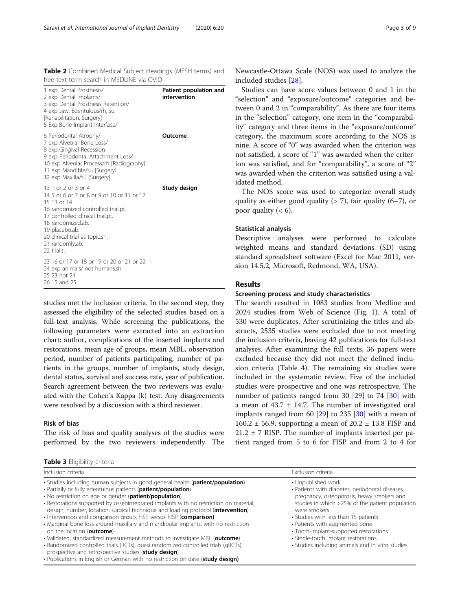<span id="page-2-0"></span>

| Table 2 Combined Medical Subject Headings (MESH terms) and |  |  |  |
|------------------------------------------------------------|--|--|--|
| free-text term search in MEDLINE via OVID                  |  |  |  |

| 1 exp Dental Prosthesis/<br>2 exp Dental Implants/<br>3 exp Dental Prosthesis Retention/<br>4 exp Jaw, Edentulous/rh, su<br>[Rehabilitation, Surgery]<br>5 Exp Bone-Implant Interface/                                                                                 | Patient population and<br>intervention |
|------------------------------------------------------------------------------------------------------------------------------------------------------------------------------------------------------------------------------------------------------------------------|----------------------------------------|
| 6 Periodontal Atrophy/<br>7 exp Alveolar Bone Loss/<br>8 exp Gingival Recession<br>9 exp Periodontal Attachment Loss/<br>10 exp Alveolar Process/rh [Radiography]<br>11 exp Mandible/su [Surgery]<br>12 exp Maxilla/su [Surgery]                                       | Outcome                                |
| 13 1 or 2 or 3 or 4<br>14 5 or 6 or 7 or 8 or 9 or 10 or 11 or 12<br>15 13 or 14<br>16 randomized controlled trial.pt.<br>17 controlled clinical trial.pt.<br>18 randomized.ab.<br>19 placebo.ab.<br>20 clinical trial as topic.sh.<br>21 randomly.ab.<br>22 trial.ti. | Study design                           |
| 23 16 or 17 or 18 or 19 or 20 or 21 or 22<br>24 exp animals/ not humans.sh.<br>25 23 not 24<br>26 15 and 25                                                                                                                                                            |                                        |
|                                                                                                                                                                                                                                                                        |                                        |

studies met the inclusion criteria. In the second step, they assessed the eligibility of the selected studies based on a full-text analysis. While screening the publications, the following parameters were extracted into an extraction chart: author, complications of the inserted implants and restorations, mean age of groups, mean MBL, observation period, number of patients participating, number of patients in the groups, number of implants, study design, dental status, survival and success rate, year of publication. Search agreement between the two reviewers was evaluated with the Cohen's Kappa (k) test. Any disagreements were resolved by a discussion with a third reviewer.

#### Risk of bias

The risk of bias and quality analyses of the studies were performed by the two reviewers independently. The

Table 3 Eligibility criteria

Newcastle-Ottawa Scale (NOS) was used to analyze the included studies [\[28\]](#page-7-0).

Studies can have score values between 0 and 1 in the "selection" and "exposure/outcome" categories and between 0 and 2 in "comparability". As there are four items in the "selection" category, one item in the "comparability" category and three items in the "exposure/outcome" category, the maximum score according to the NOS is nine. A score of "0" was awarded when the criterion was not satisfied, a score of "1" was awarded when the criterion was satisfied, and for "comparability", a score of "2" was awarded when the criterion was satisfied using a validated method.

The NOS score was used to categorize overall study quality as either good quality  $(> 7)$ , fair quality  $(6-7)$ , or poor quality  $(< 6)$ .

#### Statistical analysis

Descriptive analyses were performed to calculate weighted means and standard deviations (SD) using standard spreadsheet software (Excel for Mac 2011, version 14.5.2, Microsoft, Redmond, WA, USA).

#### Results

#### Screening process and study characteristics

The search resulted in 1083 studies from Medline and 2024 studies from Web of Science (Fig. [1\)](#page-3-0). A total of 530 were duplicates. After scrutinizing the titles and abstracts, 2535 studies were excluded due to not meeting the inclusion criteria, leaving 42 publications for full-text analyses. After examining the full texts, 36 papers were excluded because they did not meet the defined inclusion criteria (Table [4\)](#page-3-0). The remaining six studies were included in the systematic review. Five of the included studies were prospective and one was retrospective. The number of patients ranged from 30 [\[29\]](#page-8-0) to 74 [\[30\]](#page-8-0) with a mean of  $43.7 \pm 14.7$ . The number of investigated oral implants ranged from 60 [[29\]](#page-8-0) to 235 [[30\]](#page-8-0) with a mean of 160.2  $\pm$  56.9, supporting a mean of 20.2  $\pm$  13.8 FISP and  $21.2 \pm 7$  RISP. The number of implants inserted per patient ranged from 5 to 6 for FISP and from 2 to 4 for

| Inclusion criteria                                                                                                                                                                                                                                                                                                                                                                                                                                                                                                                                                                                                                                                                                                                                                                                                   | Exclusion criteria                                                                                                                                                                                                                                                                                                                                                                                    |
|----------------------------------------------------------------------------------------------------------------------------------------------------------------------------------------------------------------------------------------------------------------------------------------------------------------------------------------------------------------------------------------------------------------------------------------------------------------------------------------------------------------------------------------------------------------------------------------------------------------------------------------------------------------------------------------------------------------------------------------------------------------------------------------------------------------------|-------------------------------------------------------------------------------------------------------------------------------------------------------------------------------------------------------------------------------------------------------------------------------------------------------------------------------------------------------------------------------------------------------|
| . Studies including human subjects in good general health (patient/population)<br>• Partially or fully edentulous patients (patient/population)<br>• No restriction on age or gender ( <b>patient/population</b> )<br>• Restorations supported by osseointegrated implants with no restriction on material,<br>design, number, location, surgical technique and loading protocol (intervention)<br>• Intervention and comparison group, FISP versus RISP (comparison)<br>• Marginal bone loss around maxillary and mandibular implants, with no restriction<br>on the location (outcome)<br>• Validated, standardized measurement methods to investigate MBL (outcome)<br>• Randomized controlled trials (RCTs), quasi randomized controlled trials (qRCTs),<br>prospective and retrospective studies (study design) | • Unpublished work<br>• Patients with diabetes, periodontal diseases,<br>pregnancy, osteoporosis, heavy smokers and<br>studies in which >25% of the patient population<br>were smokers<br>• Studies with less than 15 patients<br>• Patients with augmented bone<br>• Tooth-implant-supported restorations<br>· Single-tooth implant restorations<br>• Studies including animals and in vitro studies |
| • Publications in English or German with no restriction on date (study design)                                                                                                                                                                                                                                                                                                                                                                                                                                                                                                                                                                                                                                                                                                                                       |                                                                                                                                                                                                                                                                                                                                                                                                       |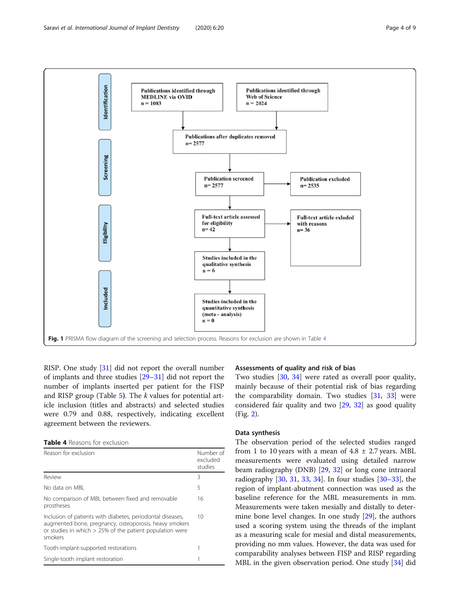<span id="page-3-0"></span>

RISP. One study [[31\]](#page-8-0) did not report the overall number of implants and three studies [[29](#page-8-0)–[31](#page-8-0)] did not report the number of implants inserted per patient for the FISP and RISP group (Table  $5$ ). The k values for potential article inclusion (titles and abstracts) and selected studies were 0.79 and 0.88, respectively, indicating excellent agreement between the reviewers.

Table 4 Reasons for exclusion

| Reason for exclusion                                                                                                                                                                           | Number of<br>excluded<br>studies |
|------------------------------------------------------------------------------------------------------------------------------------------------------------------------------------------------|----------------------------------|
| Review                                                                                                                                                                                         | 3                                |
| No data on MBL                                                                                                                                                                                 | 5                                |
| No comparison of MBL between fixed and removable<br>prostheses                                                                                                                                 | 16                               |
| Inclusion of patients with diabetes, periodontal diseases,<br>augmented bone, pregnancy, osteoporosis, heavy smokers<br>or studies in which $> 25\%$ of the patient population were<br>smokers | 10                               |
| Tooth-implant-supported restorations                                                                                                                                                           |                                  |
| Single-tooth implant restoration                                                                                                                                                               |                                  |

#### Assessments of quality and risk of bias

Two studies [\[30](#page-8-0), [34\]](#page-8-0) were rated as overall poor quality, mainly because of their potential risk of bias regarding the comparability domain. Two studies [\[31](#page-8-0), [33\]](#page-8-0) were considered fair quality and two [\[29](#page-8-0), [32\]](#page-8-0) as good quality (Fig. [2](#page-4-0)).

#### Data synthesis

The observation period of the selected studies ranged from 1 to 10 years with a mean of  $4.8 \pm 2.7$  years. MBL measurements were evaluated using detailed narrow beam radiography (DNB) [[29](#page-8-0), [32\]](#page-8-0) or long cone intraoral radiography [[30,](#page-8-0) [31](#page-8-0), [33](#page-8-0), [34\]](#page-8-0). In four studies [\[30](#page-8-0)–[33](#page-8-0)], the region of implant-abutment connection was used as the baseline reference for the MBL measurements in mm. Measurements were taken mesially and distally to determine bone level changes. In one study [\[29](#page-8-0)], the authors used a scoring system using the threads of the implant as a measuring scale for mesial and distal measurements, providing no mm values. However, the data was used for comparability analyses between FISP and RISP regarding MBL in the given observation period. One study [[34](#page-8-0)] did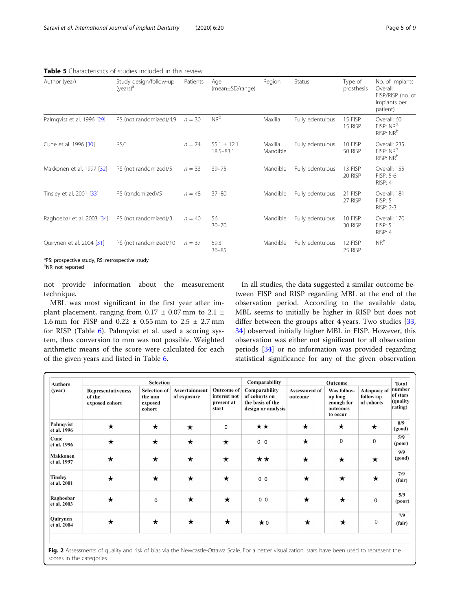| Author (year)              | Study design/follow-up<br>$(years)^a$ | Patients | Age<br>(mean±SD/range)           | Region              | <b>Status</b>    | Type of<br>prosthesis | No. of implants<br>Overall<br>FISP/RISP (no. of<br>implants per<br>patient) |
|----------------------------|---------------------------------------|----------|----------------------------------|---------------------|------------------|-----------------------|-----------------------------------------------------------------------------|
| Palmqvist et al. 1996 [29] | PS (not randomized)/4,9               | $n = 30$ | $NR^b$                           | Maxilla             | Fully edentulous | 15 FISP<br>15 RISP    | Overall: 60<br>FISP: NR <sup>b</sup><br>RISP: NR <sup>b</sup>               |
| Cune et al. 1996 [30]      | RS/1                                  | $n = 74$ | $55.1 \pm 12.1$<br>$18.5 - 83.1$ | Maxilla<br>Mandible | Fully edentulous | 10 FISP<br>50 RISP    | Overall: 235<br>FISP: NR <sup>b</sup><br>RISP: NR <sup>b</sup>              |
| Makkonen et al. 1997 [32]  | PS (not randomized)/5                 | $n = 33$ | $39 - 75$                        | Mandible            | Fully edentulous | 13 FISP<br>20 RISP    | Overall: 155<br>FISP: 5-6<br>RISP: 4                                        |
| Tinsley et al. 2001 [33]   | PS (randomized)/5                     | $n = 48$ | $37 - 80$                        | Mandible            | Fully edentulous | 21 FISP<br>27 RISP    | Overall: 181<br>FISP: 5<br><b>RISP: 2-3</b>                                 |
| Raghoebar et al. 2003 [34] | PS (not randomized)/3                 | $n = 40$ | 56<br>$30 - 70$                  | Mandible            | Fully edentulous | 10 FISP<br>30 RISP    | Overall: 170<br>FISP: 5<br>RISP: 4                                          |
| Quirynen et al. 2004 [31]  | PS (not randomized)/10                | $n = 37$ | 59.3<br>$36 - 85$                | Mandible            | Fully edentulous | 12 FISP<br>25 RISP    | $NR^b$                                                                      |

<span id="page-4-0"></span>Table 5 Characteristics of studies included in this review

<sup>a</sup>PS: prospective study, RS: retrospective study

<sup>b</sup>NR: not reported

not provide information about the measurement technique.

MBL was most significant in the first year after implant placement, ranging from  $0.17 \pm 0.07$  mm to  $2.1 \pm$ 1.6 mm for FISP and  $0.22 \pm 0.55$  mm to  $2.5 \pm 2.7$  mm for RISP (Table [6\)](#page-5-0). Palmqvist et al. used a scoring system, thus conversion to mm was not possible. Weighted arithmetic means of the score were calculated for each of the given years and listed in Table [6.](#page-5-0)

In all studies, the data suggested a similar outcome between FISP and RISP regarding MBL at the end of the observation period. According to the available data, MBL seems to initially be higher in RISP but does not differ between the groups after 4 years. Two studies [[33](#page-8-0), [34\]](#page-8-0) observed initially higher MBL in FISP. However, this observation was either not significant for all observation periods [\[34](#page-8-0)] or no information was provided regarding statistical significance for any of the given observation

| <b>Authors</b>                 |                                                | <b>Selection</b>                                    |                              |                                                          | Comparability                                                            |                                 | <b>Total</b>                                                 |                                               |                                            |
|--------------------------------|------------------------------------------------|-----------------------------------------------------|------------------------------|----------------------------------------------------------|--------------------------------------------------------------------------|---------------------------------|--------------------------------------------------------------|-----------------------------------------------|--------------------------------------------|
| (year)                         | Representativeness<br>of the<br>exposed cohort | <b>Selection of</b><br>the non<br>exposed<br>cohort | Ascertainment<br>of exposure | <b>Outcome of</b><br>interest not<br>present at<br>start | Comparability<br>of cohorts on<br>the basis of the<br>design or analysis | <b>Assessment of</b><br>outcome | Was follow-<br>up long<br>enough for<br>outcomes<br>to occur | <b>Adequacy of</b><br>follow-up<br>of cohorts | number<br>of stars<br>(quality)<br>rating) |
| Palmqvist<br>et al. 1996       | $\star$                                        | $\star$                                             | $\star$                      | 0                                                        | $\star\star$                                                             | $\star$                         | $\star$                                                      | $\star$                                       | 8/9<br>(good)                              |
| Cune<br>et al. 1996            | $\star$                                        | $\star$                                             | $\star$                      | $\star$                                                  | 0 <sub>0</sub>                                                           | $\star$                         | 0                                                            | $\mathbf 0$                                   | 5/9<br>(poor)                              |
| <b>Makkonen</b><br>et al. 1997 | $\star$                                        | $\star$                                             | $\star$                      | $\star$                                                  | $\star\star$                                                             | $\star$                         | $\star$                                                      | $\star$                                       | 9/9<br>(good)                              |
| <b>Tinsley</b><br>et al. 2001  | $\star$                                        | $\star$                                             | $\star$                      | $\star$                                                  | 0 <sub>0</sub>                                                           | $\star$                         | $\star$                                                      | $\star$                                       | 7/9<br>(fair)                              |
| Raghoebar<br>et al. 2003       | $\star$                                        | $\mathbf 0$                                         | $\star$                      | $\star$                                                  | 0 <sub>0</sub>                                                           | $\star$                         | $\star$                                                      | $\mathbf 0$                                   | 5/9<br>(poor)                              |
| Quirynen<br>et al. 2004        | $\star$                                        | $\star$                                             | $\star$                      | $\star$                                                  | $\star$ 0                                                                | $\star$                         | $\star$                                                      | 0                                             | 7/9<br>(fair)                              |

Fig. 2 Assessments of quality and risk of bias via the Newcastle-Ottawa Scale. For a better visualization, stars have been used to represent the scores in the categories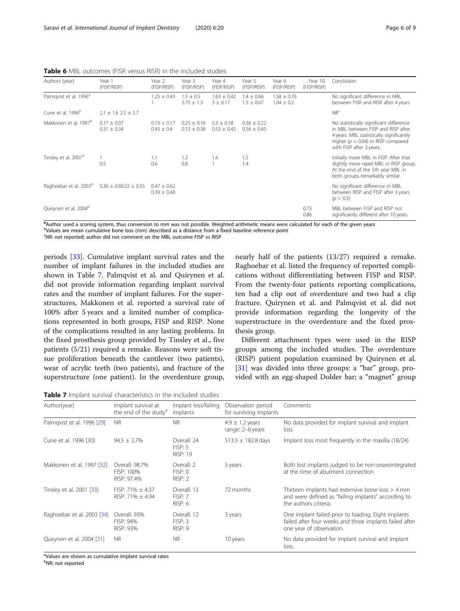<span id="page-5-0"></span>Table 6 MBL outcomes (FISR versus RISR) in the included studies

| Authors (year)                     | Year 1<br>(FISP/RISP)            | Year 2<br>(FISP/RISP)              | Year 3<br>(FISP/RISP)              | Year 4<br>(FISP/RISP)             | Year 5<br>(FISP/RISP)              | Year 6<br>(FISP/RISP)             | Year 10<br>(FISP/RISP) | Conclusion                                                                                                                                                                                      |
|------------------------------------|----------------------------------|------------------------------------|------------------------------------|-----------------------------------|------------------------------------|-----------------------------------|------------------------|-------------------------------------------------------------------------------------------------------------------------------------------------------------------------------------------------|
| Palmqvist et al. 1996 <sup>a</sup> |                                  | $1.25 \pm 0.43$                    | $1.5 \pm 0.5$<br>$3.75 \pm 1.3$    | $1.63 \pm 0.42$<br>$3 \pm 0.17$   | $1.4 \pm 0.66$<br>$1.5 \pm 0.67$   | $1.58 \pm 0.76$<br>$1.04 \pm 0.2$ |                        | No significant difference in MBL<br>between FISR and RISR after 4 years                                                                                                                         |
| Cune et al. 1996 <sup>b</sup>      | $2.1 \pm 1.6$ $2.5 \pm 2.7$      |                                    |                                    |                                   |                                    |                                   |                        | NR <sup>c</sup>                                                                                                                                                                                 |
| Makkonen et al. 1997 <sup>b</sup>  | $0.17 + 0.07$<br>$0.31 \pm 0.34$ | $0.19 + 0.17$<br>$0.45 \pm 0.4$    | $0.25 \pm 0.16$<br>$0.53 \pm 0.38$ | $0.3 \pm 0.18$<br>$0.53 \pm 0.42$ | $0.36 \pm 0.22$<br>$0.56 \pm 0.45$ |                                   |                        | No statistically significant difference<br>in MBL between FISP and RISP after<br>4 years. MBL statistically significantly<br>higher ( $p < 0.04$ ) in RISP compared<br>with FISP after 3 years. |
| Tinsley et al. 2001 <sup>b</sup>   | 0.5                              | 1.1<br>0.6                         | 1.2<br>0.8                         | 1.4                               | 1.5<br>1.4                         |                                   |                        | Initially more MBL in FISP. After that<br>slightly more rapid MBL in RISP group.<br>At the end of the 5th year MBL in<br>both groups remarkably similar.                                        |
| Raghoebar et al. 2003 <sup>b</sup> | $0.36 \pm 0.60.22 \pm 0.55$      | $0.47 \pm 0.62$<br>$0.39 \pm 0.48$ |                                    |                                   |                                    |                                   |                        | No significant difference in MBL<br>between RISP and FISP after 3 years<br>(p > 0.3)                                                                                                            |
| Quirynen et al. 2004 <sup>b</sup>  |                                  |                                    |                                    |                                   |                                    |                                   | 0.73<br>0.86           | MBL between FISP and RISP not<br>significantly different after 10 years.                                                                                                                        |

a<br>Author used a scoring system, thus conversion to mm was not possible. Weighted arithmetic means were calculated for each of the given years bValues are mean cumulative bone loss (mm) described as a distance from a fixed baseline reference point

<sup>c</sup>NR: not reported; author did not comment on the MBL outcome FISP vs RISP

periods [[33\]](#page-8-0). Cumulative implant survival rates and the number of implant failures in the included studies are shown in Table 7. Palmqvist et al. and Quirynen et al. did not provide information regarding implant survival rates and the number of implant failures. For the superstructures, Makkonen et al. reported a survival rate of 100% after 5 years and a limited number of complications represented in both groups, FISP and RISP. None of the complications resulted in any lasting problems. In the fixed prosthesis group provided by Tinsley et al., five patients (5/21) required a remake. Reasons were soft tissue proliferation beneath the cantilever (two patients), wear of acrylic teeth (two patients), and fracture of the superstructure (one patient). In the overdenture group,

nearly half of the patients (13/27) required a remake. Raghoebar et al. listed the frequency of reported complications without differentiating between FISP and RISP. From the twenty-four patients reporting complications, ten had a clip out of overdenture and two had a clip fracture. Quirynen et al. and Palmqvist et al. did not provide information regarding the longevity of the superstructure in the overdenture and the fixed prosthesis group.

Different attachment types were used in the RISP groups among the included studies. The overdenture (RISP) patient population examined by Quirynen et al. [[31\]](#page-8-0) was divided into three groups: a "bar" group, provided with an egg-shaped Dolder bar; a "magnet" group

Table 7 Implant survival characteristics in the included studies

| Author(year)               | Implant survival at<br>the end of the study <sup>a</sup> | Implant loss/failing<br>implants   | Observation period<br>for surviving implants | Comments                                                                                                                                   |
|----------------------------|----------------------------------------------------------|------------------------------------|----------------------------------------------|--------------------------------------------------------------------------------------------------------------------------------------------|
| Palmqvist et al. 1996 [29] | <b>NR</b>                                                | <b>NR</b>                          | $4.9 \pm 1.2$ years<br>range: 2-6 years      | No data provided for implant survival and implant<br>loss                                                                                  |
| Cune et al. 1996 [30]      | $94.5 \pm 2.7\%$                                         | Overall: 24<br>FISP: 5<br>RISP: 19 | $513.3 \pm 182.8$ days                       | Implant loss most frequently in the maxilla (18/24)                                                                                        |
| Makkonen et al. 1997 [32]  | Overall: 98.7%<br>FISP: 100%<br>RISP: 97.4%              | Overall: 2<br>FISP:0<br>RISP: 2    | 5 years                                      | Both lost implants judged to be non-osseointegrated<br>at the time of abutment connection                                                  |
| Tinsley et al. 2001 [33]   | FISP: 71% $\pm$ 4.37<br>$RISP: 71% + 4.94$               | Overall: 13<br>FISP:7<br>RISP: 6   | 72 months                                    | Thirteen implants had extensive bone loss $>$ 4 mm<br>and were defined as "failing implants" according to<br>the authors criteria          |
| Raghoebar et al. 2003 [34] | Overall: 93%<br>FISP: 94%<br>RISP: 93%                   | Overall: 12<br>FISP: 3<br>RISP:9   | 3 years                                      | One implant failed prior to loading. Eight implants<br>failed after four weeks and three implants failed after<br>one year of observation. |
| Quirynen et al. 2004 [31]  | <b>NR</b>                                                | <b>NR</b>                          | 10 years                                     | No data provided for implant survival and implant<br>loss.                                                                                 |

<sup>a</sup>Values are shown as cumulative implant survival rates

<sup>b</sup>NR: not reported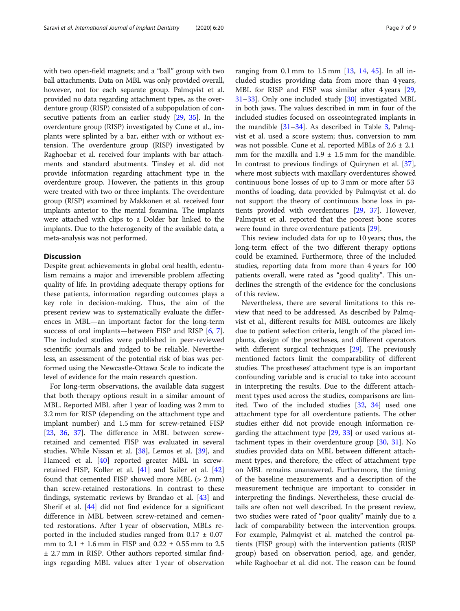with two open-field magnets; and a "ball" group with two ball attachments. Data on MBL was only provided overall, however, not for each separate group. Palmqvist et al. provided no data regarding attachment types, as the overdenture group (RISP) consisted of a subpopulation of consecutive patients from an earlier study [\[29,](#page-8-0) [35](#page-8-0)]. In the overdenture group (RISP) investigated by Cune et al., implants were splinted by a bar, either with or without extension. The overdenture group (RISP) investigated by Raghoebar et al. received four implants with bar attachments and standard abutments. Tinsley et al. did not provide information regarding attachment type in the overdenture group. However, the patients in this group were treated with two or three implants. The overdenture group (RISP) examined by Makkonen et al. received four implants anterior to the mental foramina. The implants were attached with clips to a Dolder bar linked to the implants. Due to the heterogeneity of the available data, a meta-analysis was not performed.

#### **Discussion**

Despite great achievements in global oral health, edentulism remains a major and irreversible problem affecting quality of life. In providing adequate therapy options for these patients, information regarding outcomes plays a key role in decision-making. Thus, the aim of the present review was to systematically evaluate the differences in MBL—an important factor for the long-term success of oral implants—between FISP and RISP [[6,](#page-7-0) [7](#page-7-0)]. The included studies were published in peer-reviewed scientific journals and judged to be reliable. Nevertheless, an assessment of the potential risk of bias was performed using the Newcastle-Ottawa Scale to indicate the level of evidence for the main research question.

For long-term observations, the available data suggest that both therapy options result in a similar amount of MBL. Reported MBL after 1 year of loading was 2 mm to 3.2 mm for RISP (depending on the attachment type and implant number) and 1.5 mm for screw-retained FISP [[23,](#page-7-0) [36](#page-8-0), [37](#page-8-0)]. The difference in MBL between screwretained and cemented FISP was evaluated in several studies. While Nissan et al. [[38\]](#page-8-0), Lemos et al. [\[39](#page-8-0)], and Hameed et al. [[40\]](#page-8-0) reported greater MBL in screwretained FISP, Koller et al. [\[41](#page-8-0)] and Sailer et al. [[42](#page-8-0)] found that cemented FISP showed more MBL (> 2 mm) than screw-retained restorations. In contrast to these findings, systematic reviews by Brandao et al. [\[43\]](#page-8-0) and Sherif et al. [[44\]](#page-8-0) did not find evidence for a significant difference in MBL between screw-retained and cemented restorations. After 1 year of observation, MBLs reported in the included studies ranged from  $0.17 \pm 0.07$ mm to 2.1 ± 1.6 mm in FISP and 0.22 ± 0.55 mm to 2.5 ± 2.7 mm in RISP. Other authors reported similar findings regarding MBL values after 1 year of observation ranging from 0.1 mm to 1.5 mm  $[13, 14, 45]$  $[13, 14, 45]$  $[13, 14, 45]$  $[13, 14, 45]$  $[13, 14, 45]$  $[13, 14, 45]$ . In all included studies providing data from more than 4 years, MBL for RISP and FISP was similar after 4 years [[29](#page-8-0), [31](#page-8-0)–[33](#page-8-0)]. Only one included study [\[30](#page-8-0)] investigated MBL in both jaws. The values described in mm in four of the included studies focused on osseointegrated implants in the mandible  $[31-34]$  $[31-34]$  $[31-34]$  $[31-34]$  $[31-34]$ . As described in Table [3,](#page-2-0) Palmqvist et al. used a score system; thus, conversion to mm was not possible. Cune et al. reported MBLs of 2.6 ± 2.1 mm for the maxilla and  $1.9 \pm 1.5$  mm for the mandible. In contrast to previous findings of Quirynen et al. [\[37](#page-8-0)], where most subjects with maxillary overdentures showed continuous bone losses of up to 3 mm or more after 53 months of loading, data provided by Palmqvist et al. do not support the theory of continuous bone loss in patients provided with overdentures [[29,](#page-8-0) [37\]](#page-8-0). However, Palmqvist et al. reported that the poorest bone scores were found in three overdenture patients [\[29\]](#page-8-0).

This review included data for up to 10 years; thus, the long-term effect of the two different therapy options could be examined. Furthermore, three of the included studies, reporting data from more than 4 years for 100 patients overall, were rated as "good quality". This underlines the strength of the evidence for the conclusions of this review.

Nevertheless, there are several limitations to this review that need to be addressed. As described by Palmqvist et al., different results for MBL outcomes are likely due to patient selection criteria, length of the placed implants, design of the prostheses, and different operators with different surgical techniques [[29\]](#page-8-0). The previously mentioned factors limit the comparability of different studies. The prostheses' attachment type is an important confounding variable and is crucial to take into account in interpreting the results. Due to the different attachment types used across the studies, comparisons are limited. Two of the included studies [[32](#page-8-0), [34](#page-8-0)] used one attachment type for all overdenture patients. The other studies either did not provide enough information regarding the attachment type [\[29](#page-8-0), [33\]](#page-8-0) or used various attachment types in their overdenture group [\[30,](#page-8-0) [31\]](#page-8-0). No studies provided data on MBL between different attachment types, and therefore, the effect of attachment type on MBL remains unanswered. Furthermore, the timing of the baseline measurements and a description of the measurement technique are important to consider in interpreting the findings. Nevertheless, these crucial details are often not well described. In the present review, two studies were rated of "poor quality" mainly due to a lack of comparability between the intervention groups. For example, Palmqvist et al. matched the control patients (FISP group) with the intervention patients (RISP group) based on observation period, age, and gender, while Raghoebar et al. did not. The reason can be found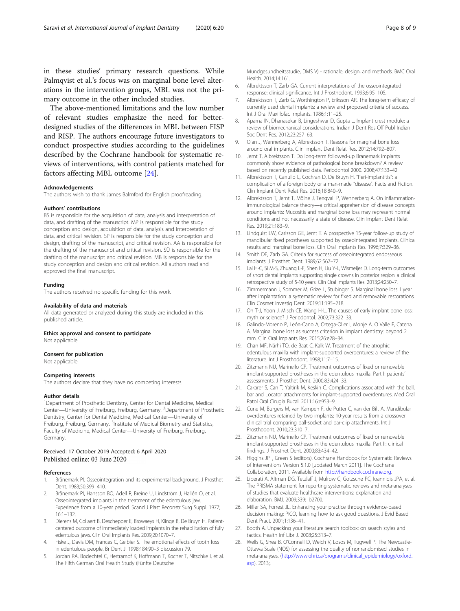<span id="page-7-0"></span>in these studies' primary research questions. While Palmqvist et al.'s focus was on marginal bone level alterations in the intervention groups, MBL was not the primary outcome in the other included studies.

The above-mentioned limitations and the low number of relevant studies emphasize the need for betterdesigned studies of the differences in MBL between FISP and RISP. The authors encourage future investigators to conduct prospective studies according to the guidelines described by the Cochrane handbook for systematic reviews of interventions, with control patients matched for factors affecting MBL outcome [24].

#### Acknowledgements

The authors wish to thank James Balmford for English proofreading.

#### Authors' contributions

BS is responsible for the acquisition of data, analysis and interpretation of data, and drafting of the manuscript. MP is responsible for the study conception and design, acquisition of data, analysis and interpretation of data, and critical revision. SP is responsible for the study conception and design, drafting of the manuscript, and critical revision. AA is responsible for the drafting of the manuscript and critical revision. SÜ is responsible for the drafting of the manuscript and critical revision. MB is responsible for the study conception and design and critical revision. All authors read and approved the final manuscript.

#### Funding

The authors received no specific funding for this work.

#### Availability of data and materials

All data generated or analyzed during this study are included in this published article.

#### Ethics approval and consent to participate Not applicable.

#### Consent for publication

Not applicable.

#### Competing interests

The authors declare that they have no competing interests.

#### Author details

<sup>1</sup>Department of Prosthetic Dentistry, Center for Dental Medicine, Medical Center—University of Freiburg, Freiburg, Germany. <sup>2</sup>Department of Prosthetic Dentistry, Center for Dental Medicine, Medical Center—University of Freiburg, Freiburg, Germany. <sup>3</sup>Institute of Medical Biometry and Statistics, Faculty of Medicine, Medical Center—University of Freiburg, Freiburg, Germany.

## Received: 17 October 2019 Accepted: 6 April 2020

#### References

- 1. Brånemark PI. Osseointegration and its experimental background. J Prosthet Dent. 1983;50:399–410.
- 2. Brånemark PI, Hansson BO, Adell R, Breine U, Lindström J, Hallén O, et al. Osseointegrated implants in the treatment of the edentulous jaw. Experience from a 10-year period. Scand J Plast Reconstr Surg Suppl. 1977; 16:1–132.
- 3. Dierens M, Collaert B, Deschepper E, Browaeys H, Klinge B, De Bruyn H. Patientcentered outcome of immediately loaded implants in the rehabilitation of fully edentulous jaws. Clin Oral Implants Res. 2009;20:1070–7.
- 4. Fiske J, Davis DM, Frances C, Gelbier S. The emotional effects of tooth loss in edentulous people. Br Dent J. 1998;184:90–3 discussion 79.
- Jordan RA, Bodechtel C, Hertrampf K, Hoffmann T, Kocher T, Nitschke I, et al. The Fifth German Oral Health Study (Fünfte Deutsche

Mundgesundheitsstudie, DMS V) - rationale, design, and methods. BMC Oral Health. 2014;14:161.

- 6. Albrektsson T, Zarb GA. Current interpretations of the osseointegrated response: clinical significance. Int J Prosthodont. 1993;6:95–105.
- 7. Albrektsson T, Zarb G, Worthington P, Eriksson AR. The long-term efficacy of currently used dental implants: a review and proposed criteria of success. Int J Oral Maxillofac Implants. 1986;1:11–25.
- 8. Aparna IN, Dhanasekar B, Lingeshwar D, Gupta L. Implant crest module: a review of biomechanical considerations. Indian J Dent Res Off Publ Indian Soc Dent Res. 2012;23:257–63.
- 9. Qian J, Wennerberg A, Albrektsson T. Reasons for marginal bone loss around oral implants. Clin Implant Dent Relat Res. 2012;14:792–807.
- 10. Jemt T, Albrektsson T. Do long-term followed-up Branemark implants commonly show evidence of pathological bone breakdown? A review based on recently published data. Periodontol 2000. 2008;47:133–42.
- 11. Albrektsson T, Canullo L, Cochran D, De Bruyn H. "Peri-implantitis": a complication of a foreign body or a man-made "disease". Facts and Fiction. Clin Implant Dent Relat Res. 2016;18:840–9.
- 12. Albrektsson T, Jemt T, Mölne J, Tengvall P, Wennerberg A. On inflammationimmunological balance theory—a critical apprehension of disease concepts around implants: Mucositis and marginal bone loss may represent normal conditions and not necessarily a state of disease. Clin Implant Dent Relat Res. 2019;21:183–9.
- 13. Lindquist LW, Carlsson GE, Jemt T. A prospective 15-year follow-up study of mandibular fixed prostheses supported by osseointegrated implants. Clinical results and marginal bone loss. Clin Oral Implants Res. 1996;7:329–36.
- 14. Smith DE, Zarb GA. Criteria for success of osseointegrated endosseous implants. J Prosthet Dent. 1989;62:567–72.
- 15. Lai H-C, Si M-S, Zhuang L-F, Shen H, Liu Y-L, Wismeijer D. Long-term outcomes of short dental implants supporting single crowns in posterior region: a clinical retrospective study of 5-10 years. Clin Oral Implants Res. 2013;24:230–7.
- 16. Zimmermann J, Sommer M, Grize L, Stubinger S. Marginal bone loss 1 year after implantation: a systematic review for fixed and removable restorations. Clin Cosmet Investig Dent. 2019;11:195–218.
- 17. Oh T-J, Yoon J, Misch CE, Wang H-L. The causes of early implant bone loss: myth or science? J Periodontol. 2002;73:322–33.
- 18. Galindo-Moreno P, León-Cano A, Ortega-Oller I, Monje A. O Valle F, Catena A. Marginal bone loss as success criterion in implant dentistry: beyond 2 mm. Clin Oral Implants Res. 2015;26:e28–34.
- 19. Chan MF, Närhi TO, de Baat C, Kalk W. Treatment of the atrophic edentulous maxilla with implant-supported overdentures: a review of the literature. Int J Prosthodont. 1998;11:7–15.
- 20. Zitzmann NU, Marinello CP. Treatment outcomes of fixed or removable implant-supported prostheses in the edentulous maxilla. Part I: patients' assessments. J Prosthet Dent. 2000;83:424–33.
- 21. Cakarer S, Can T, Yaltirik M, Keskin C. Complications associated with the ball, bar and Locator attachments for implant-supported overdentures. Med Oral Patol Oral Cirugia Bucal. 2011;16:e953–9.
- 22. Cune M, Burgers M, van Kampen F, de Putter C, van der Bilt A. Mandibular overdentures retained by two implants: 10-year results from a crossover clinical trial comparing ball-socket and bar-clip attachments. Int J Prosthodont. 2010;23:310–7.
- 23. Zitzmann NU, Marinello CP. Treatment outcomes of fixed or removable implant-supported prostheses in the edentulous maxilla. Part II: clinical findings. J Prosthet Dent. 2000;83:434–42.
- 24. Higgins JPT, Green S (editors). Cochrane Handbook for Systematic Reviews of Interventions Version 5.1.0 [updated March 2011]. The Cochrane Collaboration, 2011. Available from [http://handbook.cochrane.org.](http://handbook.cochrane.org)
- 25. Liberati A, Altman DG, Tetzlaff J, Mulrow C, Gotzsche PC, Ioannidis JPA, et al. The PRISMA statement for reporting systematic reviews and meta-analyses of studies that evaluate healthcare interventions: explanation and elaboration. BMJ. 2009;339:–b2700.
- 26. Miller SA, Forrest JL. Enhancing your practice through evidence-based decision making: PICO, learning how to ask good questions. J Evid Based Dent Pract. 2001;1:136–41.
- 27. Booth A. Unpacking your literature search toolbox: on search styles and tactics. Health Inf Libr J. 2008;25:313–7.
- 28. Wells G, Shea B, O'Connell D, Weich V, Losos M, Tugwell P. The Newcastle-Ottawa Scale (NOS) for assessing the quality of nonrandomised studies in meta-analyses. ([http://www.ohri.ca/programs/clinical\\_epidemiology/oxford.](http://www.ohri.ca/programs/clinical_epidemiology/oxford.asp) [asp](http://www.ohri.ca/programs/clinical_epidemiology/oxford.asp)). 2013;.